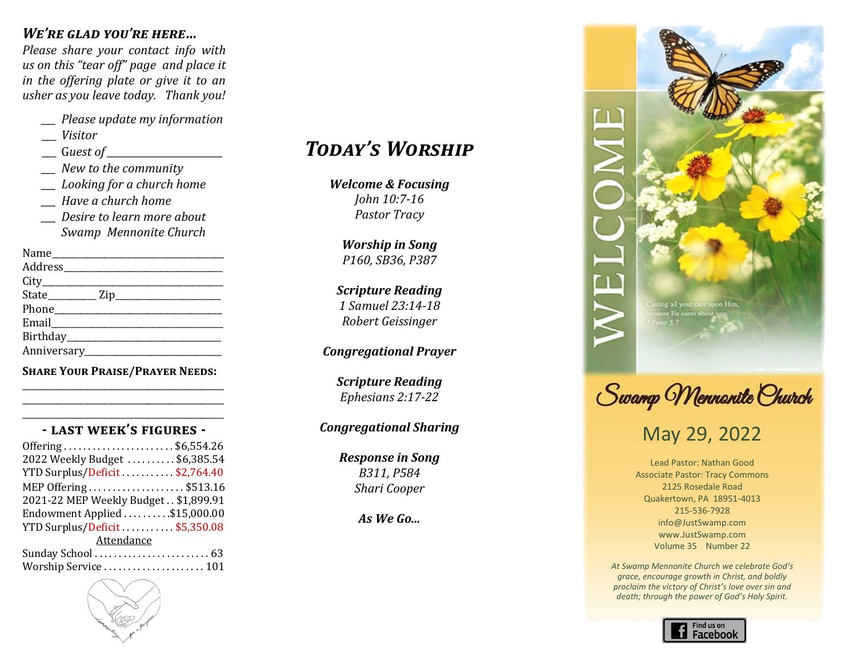#### *We're glad you're here…*

*Please share your contact info with us on this "tear off" page and place it in the offering plate or give it to an usher as you leave today. Thank you!*

- *\_\_\_ Please update my information*
- \_\_\_ *Visitor*
- \_\_\_ G*uest of \_\_\_\_\_\_\_\_\_\_\_\_\_\_\_\_\_\_\_\_\_\_\_\_*
- *\_\_\_ New to the community*
- *\_\_\_ Looking for a church home*
- *\_\_\_ Have a church home*
- *\_\_\_ Desire to learn more about Swamp Mennonite Church*

| Address_____________________ |
|------------------------------|
|                              |
|                              |
|                              |
|                              |
|                              |
|                              |
|                              |

**Share Your Praise/Prayer Needs:** \_\_\_\_\_\_\_\_\_\_\_\_\_\_\_\_\_\_\_\_\_\_\_\_\_\_\_\_\_\_\_\_\_\_\_\_\_\_\_\_\_\_\_\_\_

#### \_\_\_\_\_\_\_\_\_\_\_\_\_\_\_\_\_\_\_\_\_\_\_\_\_\_\_\_\_\_\_\_\_\_\_\_\_\_\_\_\_\_\_\_\_ **- last week's figures -**

\_\_\_\_\_\_\_\_\_\_\_\_\_\_\_\_\_\_\_\_\_\_\_\_\_\_\_\_\_\_\_\_\_\_\_\_\_\_\_\_\_\_\_\_\_

| Offering\$6,554.26                   |  |
|--------------------------------------|--|
| 2022 Weekly Budget \$6,385.54        |  |
| YTD Surplus/Deficit\$2,764.40        |  |
| MEP Offering \$513.16                |  |
| 2021-22 MEP Weekly Budget \$1,899.91 |  |
| Endowment Applied \$15,000.00        |  |
| YTD Surplus/Deficit\$5,350.08        |  |
| Attendance                           |  |
|                                      |  |
| Worship Service  101                 |  |



#### *Welcome & Focusing Lowell Gehman & Welcome & Focusing Isaiah 55:6-9, 56:1-2 Psalm 88 Today's Worship*

*Worship in Song Congregational Prayer Worship in Song Praise Team John 10:7-16* **Welcome & Focusing** *Worship in Song Praise Team Scripture Reading Jonah 4:5-9, 2 Corinthians 4:7-12 Pastor Tracy*

*Marlin Clemmer Celebrating Our Life Together Congregational Prayer Steve & Cindy Weaver "Before the Throne of God Above P160, SB36, P387 Children's Time Offertory Worship in Song*

*Children's Time Offertory Celebrating Our Life Together Arr. by Joshua Evanozich Scripture Reading Laura Rush Carol Longacre Leah Rush and Carol Longacre 1 Samuel 23:14-18 Offertory Children's Time Congregational Prayer Childrens Time Robert Geissinger*

#### *Worship in Song Offertory cyacional i 1 Kings 18-19 Arlene Yothers Congregational Prayer*

*2 Timothy 2:8-13 Barry Gehman Scripture Reading Teena Gehman Ephesians 2:17-22 Worship in Song Worship in Song Scripture Reading*

#### *"Promises: Trusting the God Who Raised the Messiah from the Dead " Scripture Reading Scripture Reading Congregational Sharing*

*Pastor Verle A. Brubaker "The Mystery of God in Our Present" Matthew 26:36-46 Response in Song Response in Song Carol Longacre Response in Song Pastor Verle A. Brubaker Message Message B311, P584*  $Shari Cooper$ *Pastor Verle A. Brubaker*

*Benediction Benediction Response in Song As We Go...*



Swamp Mennanite Church

## May 29, 2022

Lead Pastor: Nathan Good Associate Pastor: Tracy Commons 2125 Rosedale Road Quakertown, PA 18951-4013 215-536-7928 info@JustSwamp.com www.JustSwamp.com Volume 35 Number 22

*At Swamp Mennonite Church we celebrate God's grace, encourage growth in Christ, and boldly proclaim the victory of Christ's love over sin and death; through the power of God's Holy Spirit.*